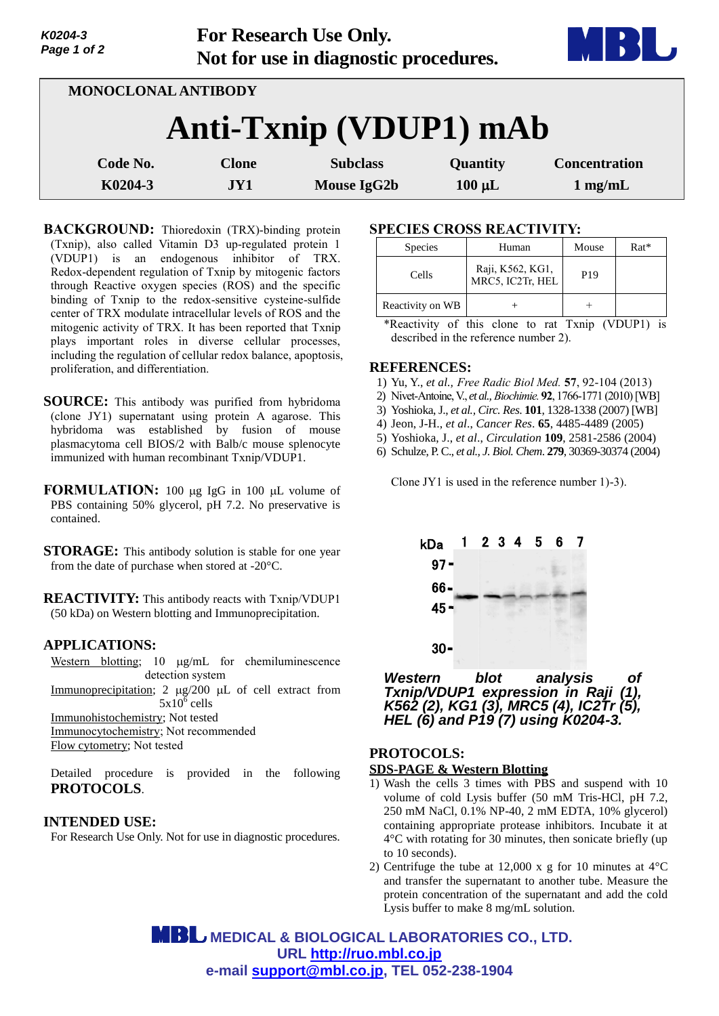| Page 1 of 2         |              | Not for use in diagnostic procedures. |             |                      |
|---------------------|--------------|---------------------------------------|-------------|----------------------|
| MONOCLONAL ANTIBODY |              |                                       |             |                      |
|                     |              | Anti-Txnip (VDUP1) mAb                |             |                      |
| Code No.            | <b>Clone</b> | <b>Subclass</b>                       | Quantity    | <b>Concentration</b> |
| K0204-3             | JY1          | <b>Mouse IgG2b</b>                    | $100 \mu L$ | $1$ mg/mL            |

**For Research Use Only.**

**BACKGROUND:** Thioredoxin (TRX)-binding protein (Txnip), also called Vitamin D3 up-regulated protein 1 (VDUP1) is an endogenous inhibitor of TRX. Redox-dependent regulation of Txnip by mitogenic factors through Reactive oxygen species (ROS) and the specific binding of Txnip to the redox-sensitive cysteine-sulfide center of TRX modulate intracellular levels of ROS and the mitogenic activity of TRX. It has been reported that Txnip plays important roles in diverse cellular processes, including the regulation of cellular redox balance, apoptosis, proliferation, and differentiation.

- **SOURCE:** This antibody was purified from hybridoma (clone JY1) supernatant using protein A agarose. This hybridoma was established by fusion of mouse plasmacytoma cell BIOS/2 with Balb/c mouse splenocyte immunized with human recombinant Txnip/VDUP1.
- **FORMULATION:** 100 µg IgG in 100 µL volume of PBS containing 50% glycerol, pH 7.2. No preservative is contained.
- **STORAGE:** This antibody solution is stable for one year from the date of purchase when stored at -20°C.

**REACTIVITY:** This antibody reacts with Txnip/VDUP1 (50 kDa) on Western blotting and Immunoprecipitation.

## **APPLICATIONS:**

*K0204-3*

Western blotting;  $10 \mu g/mL$  for chemiluminescence detection system

Immunoprecipitation;  $2 \mu g/200 \mu L$  of cell extract from  $5x10^{\overline{6}}$  cells

Immunohistochemistry; Not tested Immunocytochemistry; Not recommended

Flow cytometry; Not tested

Detailed procedure is provided in the following **PROTOCOLS**.

## **INTENDED USE:**

For Research Use Only. Not for use in diagnostic procedures.

# **SPECIES CROSS REACTIVITY:**

| <b>Species</b>   | Human                                | Mouse           | $Rat*$ |
|------------------|--------------------------------------|-----------------|--------|
| Cells            | Raji, K562, KG1,<br>MRC5, IC2Tr, HEL | P <sub>19</sub> |        |
| Reactivity on WB |                                      |                 |        |

\*Reactivity of this clone to rat Txnip (VDUP1) is described in the reference number 2).

# **REFERENCES:**

- 1) Yu, Y., *et al., [Free Radic Biol Med.](http://www.ncbi.nlm.nih.gov/pubmed/23291592)* **57**, 92-104 (2013)
- 2) [Nivet-Antoine,V.,](http://www.ncbi.nlm.nih.gov/pubmed?term=Nivet-Antoine%20V%5BAuthor%5D&cauthor=true&cauthor_uid=20709139) *et al., [Biochimie.](http://www.ncbi.nlm.nih.gov/pubmed/20709139)* **92**, 1766-1771 (2010)[WB]
- 3) Yoshioka, J., *et al., Circ. Res*. **101**, 1328-1338 (2007) [WB]
- 4) Jeon, J-H., *et al*., *Cancer Res*. **65**, 4485-4489 (2005)
- 5) Yoshioka, J., *et al*., *Circulation* **109**, 2581-2586 (2004)
- 6) Schulze, P. C., *et al., J. Biol. Chem*. **279**, 30369-30374 (2004)

Clone JY1 is used in the reference number 1)-3).



*Western blot analysis of Txnip/VDUP1 expression in Raji (1), K562 (2), KG1 (3), MRC5 (4), IC2Tr (5), HEL (6) and P19 (7) using K0204-3.*

# **PROTOCOLS:**

# **SDS-PAGE & Western Blotting**

- 1) Wash the cells 3 times with PBS and suspend with 10 volume of cold Lysis buffer (50 mM Tris-HCl, pH 7.2, 250 mM NaCl, 0.1% NP-40, 2 mM EDTA, 10% glycerol) containing appropriate protease inhibitors. Incubate it at 4°C with rotating for 30 minutes, then sonicate briefly (up to 10 seconds).
- 2) Centrifuge the tube at 12,000 x g for 10 minutes at  $4^{\circ}$ C and transfer the supernatant to another tube. Measure the protein concentration of the supernatant and add the cold Lysis buffer to make 8 mg/mL solution.

 **MEDICAL & BIOLOGICAL LABORATORIES CO., LTD. URL [http://ruo.mbl.co.jp](http://ruo.mbl.co.jp/) e-mail [support@mbl.co.jp,](mailto:support@mbl.co.jp) TEL 052-238-1904**